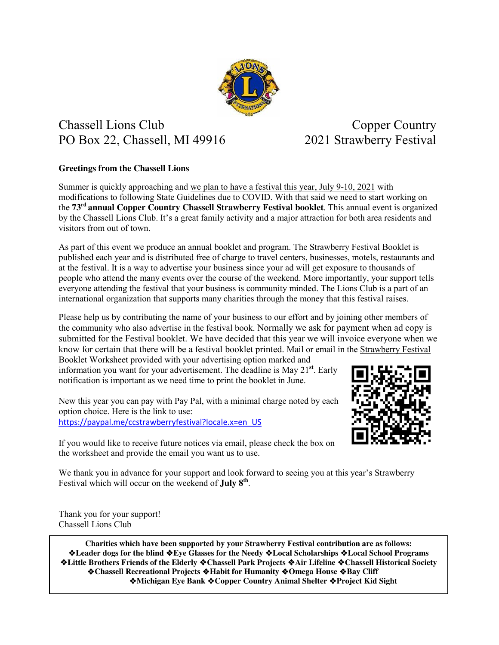

## Chassell Lions Club Copper Country PO Box 22, Chassell, MI 49916 2021 Strawberry Festival

## **Greetings from the Chassell Lions**

Summer is quickly approaching and we plan to have a festival this year, July 9-10, 2021 with modifications to following State Guidelines due to COVID. With that said we need to start working on the **73rd annual Copper Country Chassell Strawberry Festival booklet**. This annual event is organized by the Chassell Lions Club. It's a great family activity and a major attraction for both area residents and visitors from out of town.

As part of this event we produce an annual booklet and program. The Strawberry Festival Booklet is published each year and is distributed free of charge to travel centers, businesses, motels, restaurants and at the festival. It is a way to advertise your business since your ad will get exposure to thousands of people who attend the many events over the course of the weekend. More importantly, your support tells everyone attending the festival that your business is community minded. The Lions Club is a part of an international organization that supports many charities through the money that this festival raises.

Please help us by contributing the name of your business to our effort and by joining other members of the community who also advertise in the festival book. Normally we ask for payment when ad copy is submitted for the Festival booklet. We have decided that this year we will invoice everyone when we know for certain that there will be a festival booklet printed. Mail or email in the Strawberry Festival Booklet Worksheet provided with your advertising option marked and

information you want for your advertisement. The deadline is May 21**st**. Early notification is important as we need time to print the booklet in June.

New this year you can pay with Pay Pal, with a minimal charge noted by each option choice. Here is the link to use: [https://paypal.me/ccstrawberryfestival?locale.x=en\\_US](https://paypal.me/ccstrawberryfestival?locale.x=en_US) 



If you would like to receive future notices via email, please check the box on the worksheet and provide the email you want us to use.

We thank you in advance for your support and look forward to seeing you at this year's Strawberry Festival which will occur on the weekend of **July 8th** .

Thank you for your support! Chassell Lions Club

**Charities which have been supported by your Strawberry Festival contribution are as follows: Leader dogs for the blind Eye Glasses for the Needy Local Scholarships Local School Programs Little Brothers Friends of the Elderly Chassell Park Projects Air Lifeline Chassell Historical Society Chassell Recreational Projects Habit for Humanity Omega House Bay Cliff Michigan Eye Bank Copper Country Animal Shelter Project Kid Sight**